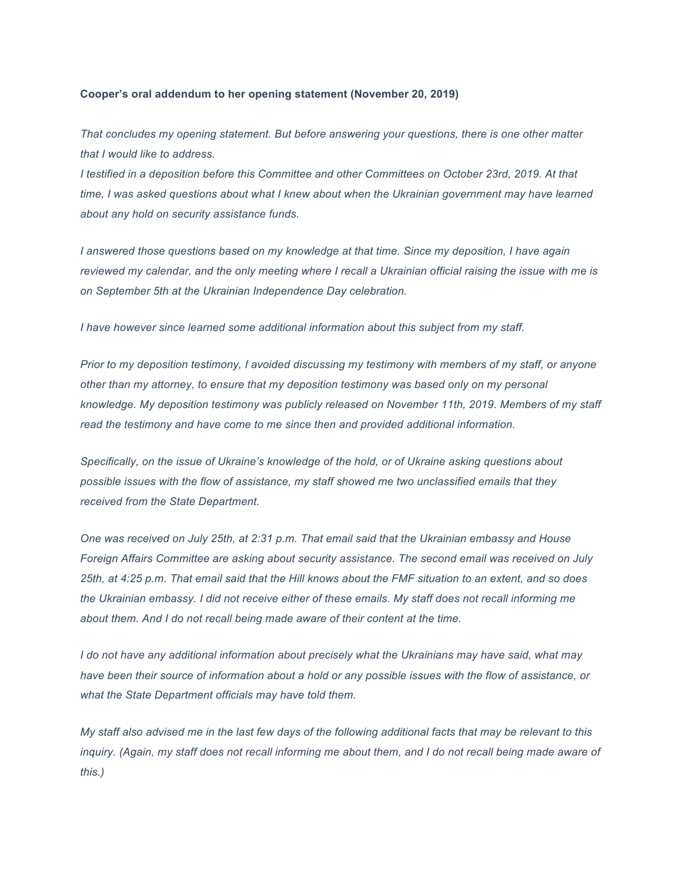## **Cooper's oral addendum to her opening statement (November 20, 2019)**

*That concludes my opening statement. But before answering your questions, there is one other matter that I would like to address.*

*I testified in a deposition before this Committee and other Committees on October 23rd, 2019. At that time, I was asked questions about what I knew about when the Ukrainian government may have learned about any hold on security assistance funds.*

*I answered those questions based on my knowledge at that time. Since my deposition, I have again* reviewed my calendar, and the only meeting where I recall a Ukrainian official raising the issue with me is *on September 5th at the Ukrainian Independence Day celebration.*

*I have however since learned some additional information about this subject from my staff.*

*Prior to my deposition testimony, I avoided discussing my testimony with members of my staff, or anyone other than my attorney, to ensure that my deposition testimony was based only on my personal knowledge. My deposition testimony was publicly released on November 11th, 2019. Members of my staff read the testimony and have come to me since then and provided additional information.*

*Specifically, on the issue of Ukraine's knowledge of the hold, or of Ukraine asking questions about possible issues with the flow of assistance, my staff showed me two unclassified emails that they received from the State Department.*

*One was received on July 25th, at 2:31 p.m. That email said that the Ukrainian embassy and House Foreign Affairs Committee are asking about security assistance. The second email was received on July* 25th, at 4:25 p.m. That email said that the Hill knows about the FMF situation to an extent, and so does the Ukrainian embassy. I did not receive either of these emails. My staff does not recall informing me *about them. And I do not recall being made aware of their content at the time.*

*I do not have any additional information about precisely what the Ukrainians may have said, what may* have been their source of information about a hold or any possible issues with the flow of assistance, or *what the State Department officials may have told them.*

My staff also advised me in the last few days of the following additional facts that may be relevant to this inguiry. (Again, my staff does not recall informing me about them, and I do not recall being made aware of *this.)*